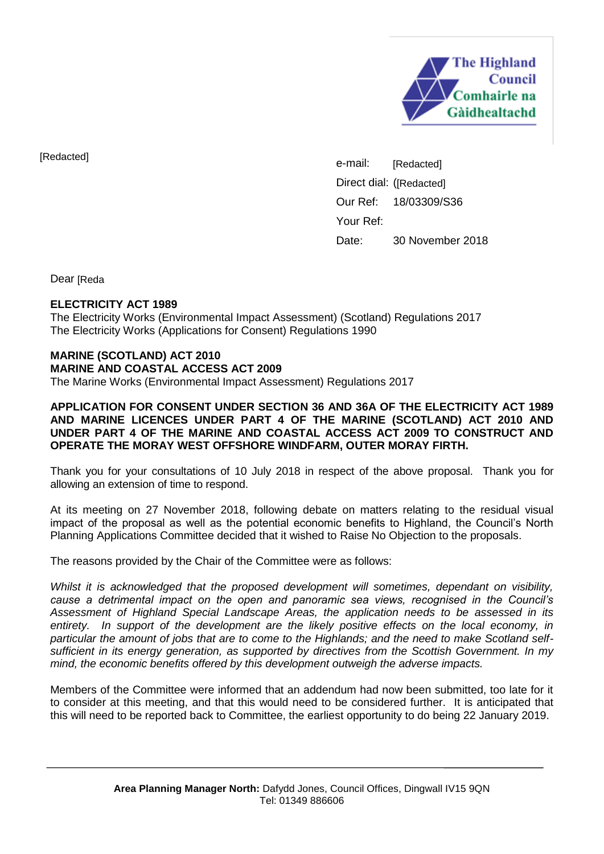

[Redacted]

e-mail: Direct dial: ( [Redacted] Our Ref: 18/03309/S36 Your Ref: Date: 30 November 2018 [Redacted]

Dear [Reda

## **ELECTRICITY ACT 1989**

The Electricity Works (Environmental Impact Assessment) (Scotland) Regulations 2017 The Electricity Works (Applications for Consent) Regulations 1990

#### **MARINE (SCOTLAND) ACT 2010 MARINE AND COASTAL ACCESS ACT 2009**  The Marine Works (Environmental Impact Assessment) Regulations 2017

**APPLICATION FOR CONSENT UNDER SECTION 36 AND 36A OF THE ELECTRICITY ACT 1989 AND MARINE LICENCES UNDER PART 4 OF THE MARINE (SCOTLAND) ACT 2010 AND UNDER PART 4 OF THE MARINE AND COASTAL ACCESS ACT 2009 TO CONSTRUCT AND OPERATE THE MORAY WEST OFFSHORE WINDFARM, OUTER MORAY FIRTH.** 

Thank you for your consultations of 10 July 2018 in respect of the above proposal. Thank you for allowing an extension of time to respond.

At its meeting on 27 November 2018, following debate on matters relating to the residual visual impact of the proposal as well as the potential economic benefits to Highland, the Council's North Planning Applications Committee decided that it wished to Raise No Objection to the proposals.

The reasons provided by the Chair of the Committee were as follows:

*Whilst it is acknowledged that the proposed development will sometimes, dependant on visibility, cause a detrimental impact on the open and panoramic sea views, recognised in the Council's Assessment of Highland Special Landscape Areas, the application needs to be assessed in its entirety. In support of the development are the likely positive effects on the local economy, in particular the amount of jobs that are to come to the Highlands; and the need to make Scotland selfsufficient in its energy generation, as supported by directives from the Scottish Government. In my mind, the economic benefits offered by this development outweigh the adverse impacts.* 

Members of the Committee were informed that an addendum had now been submitted, too late for it to consider at this meeting, and that this would need to be considered further. It is anticipated that this will need to be reported back to Committee, the earliest opportunity to do being 22 January 2019.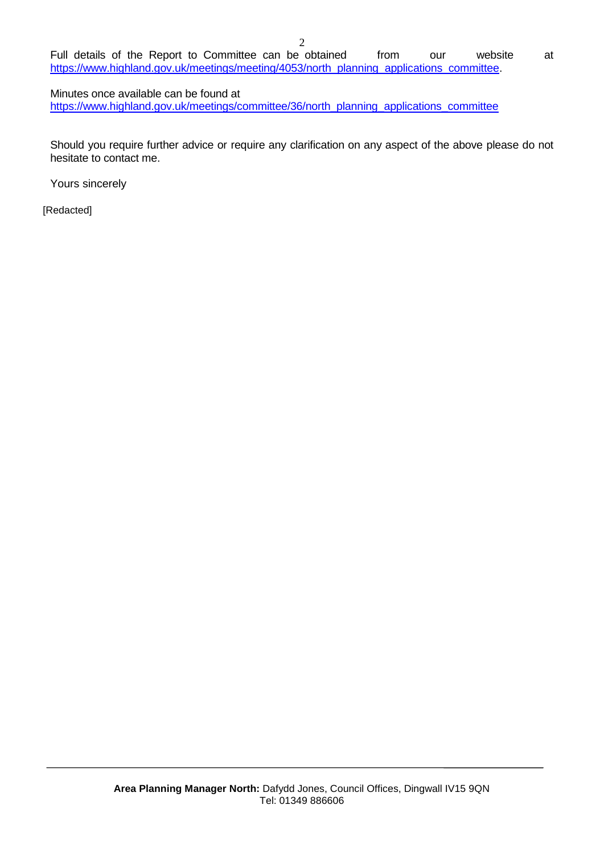Full details of the Report to Committee can be obtained from our website at [https://www.highland.gov.uk/meetings/meeting/4053/north\\_planning\\_applications\\_committee.](https://www.highland.gov.uk/meetings/meeting/4053/north_planning_applications_committee)

Minutes once available can be found at [https://www.highland.gov.uk/meetings/committee/36/north\\_planning\\_applications\\_committee](https://www.highland.gov.uk/meetings/committee/36/north_planning_applications_committee)

Should you require further advice or require any clarification on any aspect of the above please do not hesitate to contact me.

Yours sincerely

[Redacted]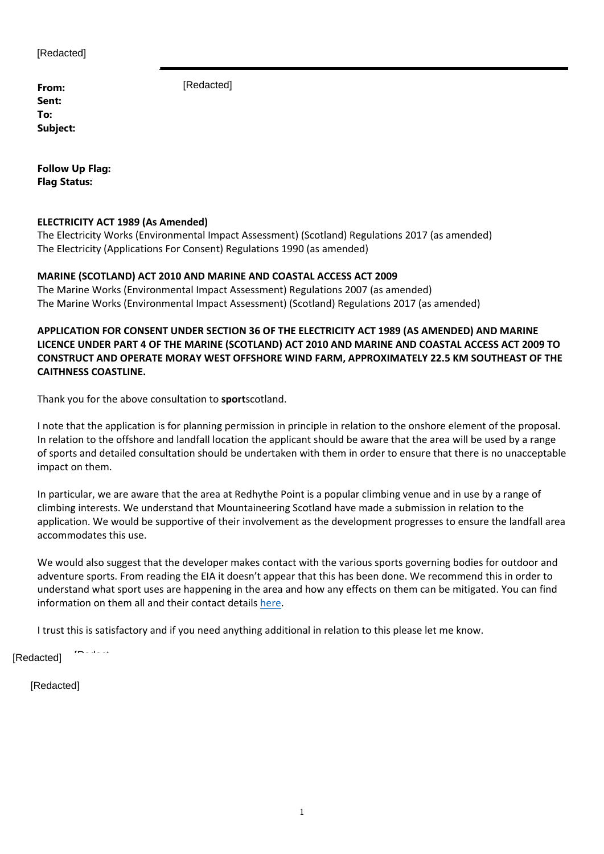[Redacted]

**From: Sent: To: Subject:** [Redacted]

**Follow Up Flag: Flag Status:**

### **ELECTRICITY ACT 1989 (As Amended)**

The Electricity Works (Environmental Impact Assessment) (Scotland) Regulations 2017 (as amended) The Electricity (Applications For Consent) Regulations 1990 (as amended)

### **MARINE (SCOTLAND) ACT 2010 AND MARINE AND COASTAL ACCESS ACT 2009**

The Marine Works (Environmental Impact Assessment) Regulations 2007 (as amended) The Marine Works (Environmental Impact Assessment) (Scotland) Regulations 2017 (as amended)

**APPLICATION FOR CONSENT UNDER SECTION 36 OF THE ELECTRICITY ACT 1989 (AS AMENDED) AND MARINE LICENCE UNDER PART 4 OF THE MARINE (SCOTLAND) ACT 2010 AND MARINE AND COASTAL ACCESS ACT 2009 TO CONSTRUCT AND OPERATE MORAY WEST OFFSHORE WIND FARM, APPROXIMATELY 22.5 KM SOUTHEAST OF THE CAITHNESS COASTLINE.** 

Thank you for the above consultation to **sport**scotland.

I note that the application is for planning permission in principle in relation to the onshore element of the proposal. In relation to the offshore and landfall location the applicant should be aware that the area will be used by a range of sports and detailed consultation should be undertaken with them in order to ensure that there is no unacceptable impact on them.

In particular, we are aware that the area at Redhythe Point is a popular climbing venue and in use by a range of climbing interests. We understand that Mountaineering Scotland have made a submission in relation to the application. We would be supportive of their involvement as the development progresses to ensure the landfall area accommodates this use.

We would also suggest that the developer makes contact with the various sports governing bodies for outdoor and adventure sports. From reading the EIA it doesn't appear that this has been done. We recommend this in order to understand what sport uses are happening in the area and how any effects on them can be mitigated. You can find information on them all and their contact details here.

I trust this is satisfactory and if you need anything additional in relation to this please let me know.

[Redacted]

**[Redacted]** 

 $\mathbb{R}$  (b)  $\mathbb{R}$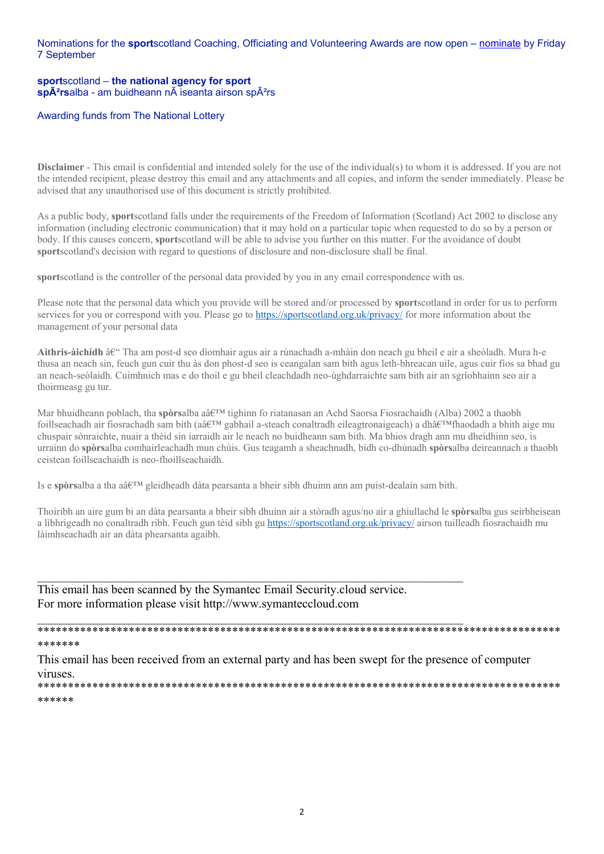Nominations for the **sport**scotland Coaching, Officiating and Volunteering Awards are now open – nominate by Friday 7 September

#### **sport**scotland – **the national agency for sport** sp $\tilde{A}^2$ rsalba - am buidheann n $\tilde{A}$  iseanta airson sp $\tilde{A}^2$ rs

#### Awarding funds from The National Lottery

**Disclaimer** - This email is confidential and intended solely for the use of the individual(s) to whom it is addressed. If you are not the intended recipient, please destroy this email and any attachments and all copies, and inform the sender immediately. Please be advised that any unauthorised use of this document is strictly prohibited.

As a public body, **sport**scotland falls under the requirements of the Freedom of Information (Scotland) Act 2002 to disclose any information (including electronic communication) that it may hold on a particular topic when requested to do so by a person or body. If this causes concern, **sport**scotland will be able to advise you further on this matter. For the avoidance of doubt **sport**scotland's decision with regard to questions of disclosure and non-disclosure shall be final.

**sport**scotland is the controller of the personal data provided by you in any email correspondence with us.

Please note that the personal data which you provide will be stored and/or processed by **sport**scotland in order for us to perform services for you or correspond with you. Please go to https://sportscotland.org.uk/privacy/ for more information about the management of your personal data

Aithris-àichidh â€<sup>"</sup> Tha am post-d seo dìomhair agus air a rùnachadh a-mhàin don neach gu bheil e air a sheòladh. Mura h-e thusa an neach sin, feuch gun cuir thu às don phost-d seo is ceangalan sam bith agus leth-bhreacan uile, agus cuir fios sa bhad gu an neach-seòlaidh. Cuimhnich mas e do thoil e gu bheil cleachdadh neo-ùghdarraichte sam bith air an sgrìobhainn seo air a thoirmeasg gu tur.

Mar bhuidheann poblach, tha **spòrs**alba aâ  $E^{TM}$  tighinn fo riatanasan an Achd Saorsa Fiosrachaidh (Alba) 2002 a thaobh foillseachadh air fiosrachadh sam bith (aâ $\epsilon^{TM}$  gabhail a-steach conaltradh eileagtronaigeach) a dhâ $\epsilon^{TM}$ fhaodadh a bhith aige mu chuspair sònraichte, nuair a thèid sin iarraidh air le neach no buidheann sam bith. Ma bhios dragh ann mu dheidhinn seo, is urrainn do **spòrs**alba comhairleachadh mun chùis. Gus teagamh a sheachnadh, bidh co-dhùnadh **spòrs**alba deireannach a thaobh ceistean foillseachaidh is neo-fhoillseachaidh.

Is e **spòrs**alba a tha aâ  $\infty$  gleidheadh dàta pearsanta a bheir sibh dhuinn ann am puist-dealain sam bith.

 $\mathcal{L}_\mathcal{L} = \mathcal{L}_\mathcal{L} = \mathcal{L}_\mathcal{L} = \mathcal{L}_\mathcal{L} = \mathcal{L}_\mathcal{L} = \mathcal{L}_\mathcal{L} = \mathcal{L}_\mathcal{L} = \mathcal{L}_\mathcal{L} = \mathcal{L}_\mathcal{L} = \mathcal{L}_\mathcal{L} = \mathcal{L}_\mathcal{L} = \mathcal{L}_\mathcal{L} = \mathcal{L}_\mathcal{L} = \mathcal{L}_\mathcal{L} = \mathcal{L}_\mathcal{L} = \mathcal{L}_\mathcal{L} = \mathcal{L}_\mathcal{L}$ 

Thoiribh an aire gum bi an dàta pearsanta a bheir sibh dhuinn air a stòradh agus/no air a ghiullachd le **spòrs**alba gus seirbheisean a lìbhrigeadh no conaltradh ribh. Feuch gun tèid sibh gu https://sportscotland.org.uk/privacy/ airson tuilleadh fiosrachaidh mu làimhseachadh air an dàta phearsanta agaibh.

This email has been scanned by the Symantec Email Security.cloud service. For more information please visit http://www.symanteccloud.com

#### \*\*\*\*\*\*\*\*\*\*\*\*\*\*\*\*\*\*\*\*\*\*\*\*\*\*\*\*\*\*\*\*\*\*\*\*\*\*\*\*\*\*\*\*\*\*\*\*\*\*\*\*\*\*\*\*\*\*\*\*\*\*\*\*\*\*\*\*\*\*\*\*\*\*\*\*\*\*\*\*\*\*\*\*\*\* \*\*\*\*\*\*\*

This email has been received from an external party and has been swept for the presence of computer viruses. \*\*\*\*\*\*\*\*\*\*\*\*\*\*\*\*\*\*\*\*\*\*\*\*\*\*\*\*\*\*\*\*\*\*\*\*\*\*\*\*\*\*\*\*\*\*\*\*\*\*\*\*\*\*\*\*\*\*\*\*\*\*\*\*\*\*\*\*\*\*\*\*\*\*\*\*\*\*\*\*\*\*\*\*\*\*

#### \*\*\*\*\*\*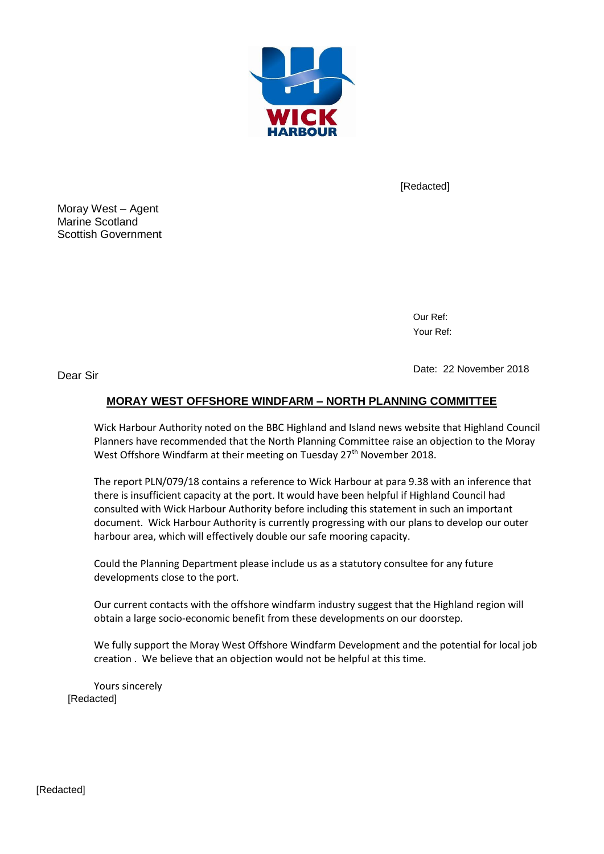

[Redacted]

Moray West – Agent Marine Scotland Scottish Government

> Our Ref: Your Ref:

Dear Sir

Date: 22 November 2018

## **MORAY WEST OFFSHORE WINDFARM – NORTH PLANNING COMMITTEE**

Wick Harbour Authority noted on the BBC Highland and Island news website that Highland Council Planners have recommended that the North Planning Committee raise an objection to the Moray West Offshore Windfarm at their meeting on Tuesday 27<sup>th</sup> November 2018.

The report PLN/079/18 contains a reference to Wick Harbour at para 9.38 with an inference that there is insufficient capacity at the port. It would have been helpful if Highland Council had consulted with Wick Harbour Authority before including this statement in such an important document. Wick Harbour Authority is currently progressing with our plans to develop our outer harbour area, which will effectively double our safe mooring capacity.

Could the Planning Department please include us as a statutory consultee for any future developments close to the port.

Our current contacts with the offshore windfarm industry suggest that the Highland region will obtain a large socio-economic benefit from these developments on our doorstep.

We fully support the Moray West Offshore Windfarm Development and the potential for local job creation . We believe that an objection would not be helpful at this time.

Yours sincerely [Redacted] [Redacted]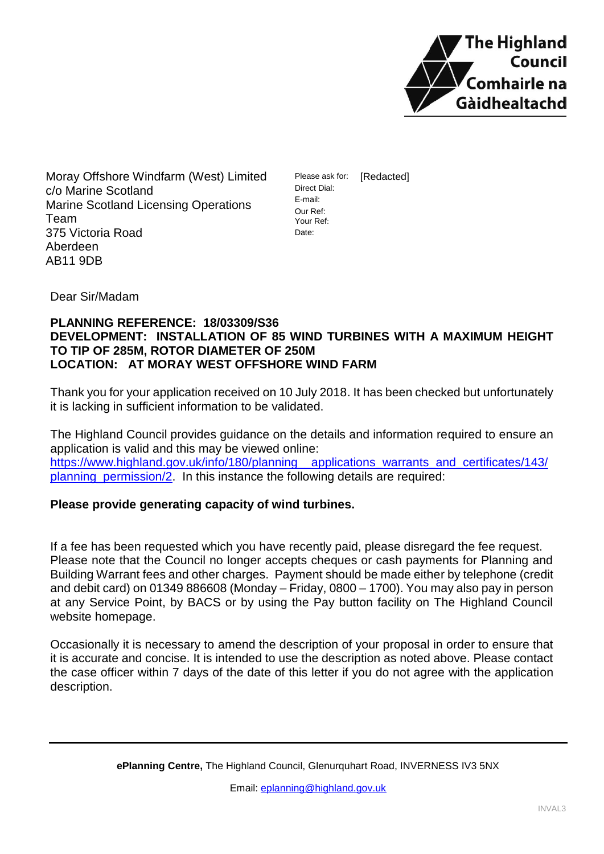

Moray Offshore Windfarm (West) Limited c/o Marine Scotland Marine Scotland Licensing Operations Team 375 Victoria Road Aberdeen AB11 9DB

Please ask for: Direct Dial: E-mail: Our Ref: Your Ref: Date: [Redacted]

Dear Sir/Madam

## **PLANNING REFERENCE: 18/03309/S36 DEVELOPMENT: INSTALLATION OF 85 WIND TURBINES WITH A MAXIMUM HEIGHT TO TIP OF 285M, ROTOR DIAMETER OF 250M LOCATION: AT MORAY WEST OFFSHORE WIND FARM**

Thank you for your application received on 10 July 2018. It has been checked but unfortunately it is lacking in sufficient information to be validated.

The Highland Council provides guidance on the details and information required to ensure an application is valid and this may be viewed online: [https://www.highland.gov.uk/info/180/planning\\_\\_applications\\_warrants\\_and\\_certificates/143/](https://www.highland.gov.uk/info/180/planning__applications_warrants_and_certificates/143/planning_permission/2) planning permission/2. In this instance the following details are required:

# **Please provide generating capacity of wind turbines.**

If a fee has been requested which you have recently paid, please disregard the fee request. Please note that the Council no longer accepts cheques or cash payments for Planning and Building Warrant fees and other charges. Payment should be made either by telephone (credit and debit card) on 01349 886608 (Monday – Friday, 0800 – 1700). You may also pay in person at any Service Point, by BACS or by using the Pay button facility on The Highland Council website homepage.

Occasionally it is necessary to amend the description of your proposal in order to ensure that it is accurate and concise. It is intended to use the description as noted above. Please contact the case officer within 7 days of the date of this letter if you do not agree with the application description.

**ePlanning Centre,** The Highland Council, Glenurquhart Road, INVERNESS IV3 5NX